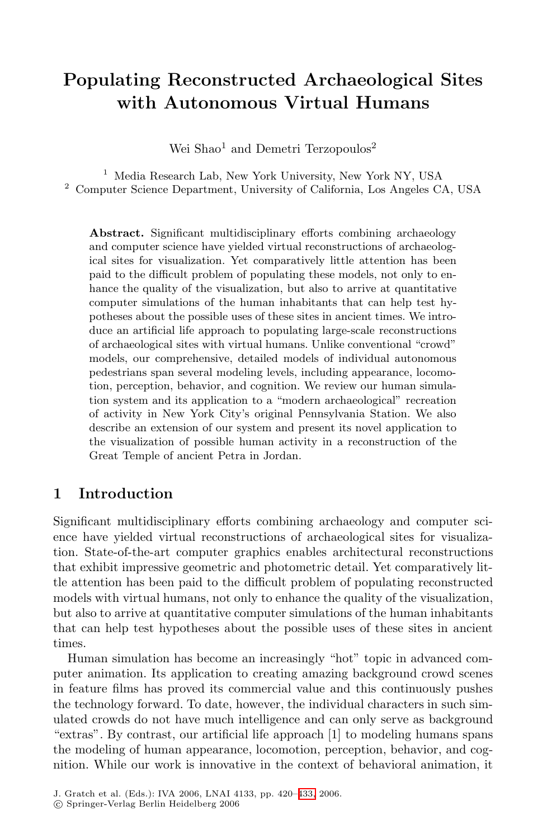# **Populating Reconstructed Archaeological Sites with Autonomous Virtual Humans**

Wei Shao<sup>1</sup> and Demetri Terzopoulos<sup>2</sup>

<sup>1</sup> Media Research Lab, New York University, New York NY, USA <sup>2</sup> Computer Science Department, University of California, Los Angeles CA, USA

**Abstract.** Significant multidisciplinary efforts combining archaeology and computer science have yielded virtual reconstructions of archaeological sites for visualization. Yet comparatively little attention has been paid to the difficult problem of populating these models, not only to enhance the quality of the visualization, but also to arrive at quantitative computer simulations of the human inhabitants that can help test hypotheses about the possible uses of these sites in ancient times. We introduce an artificial life approach to populating large-scale reconstructions of archaeological sites with virtual humans. Unlike conventional "crowd" models, our comprehensive, detailed models of individual autonomous pedestrians span several modeling levels, including appearance, locomotion, perception, behavior, and cognition. We review our human simulation system and its application to a "modern archaeological" recreation of activity in New York City's original Pennsylvania Station. We also describe an extension of our system and present its novel application to the visualization of possible human activity in a reconstruction of the Great Temple of ancient Petra in Jordan.

# **1 Introduction**

Significant multidisciplinary efforts combining archaeology and computer science have yielded virtual reconstructions of archaeological sites for visualization. State-of-the-art computer graphics enables architectural reconstructions that exhibit impressive geometric and photometric detail. Yet comparatively little attention has been paid to the difficult problem of populating reconstructed models with virtual humans, not only to enhance the quality of the visualization, but also to arrive at quantitative computer simulations of the human inhabitants that can help test hypotheses about the possible uses of these sites in ancient times.

Human simulation has become an increasingly "hot" topic in advanced computer animation. Its application to creating amazing background crowd scenes in feature films has proved its commercial value and this continuously pushes the technology forward. To date, however, the individual characters in such simulated crowds do not have much intelligence and can only serve as background "extras". By contrast, our artificial life approach [1] to modeling humans spans the modeling of human appearance, locomotion, perception, behavior, and cognition. While our work is innovative in the context of behavioral animation, it

c Springer-Verlag Berlin Heidelberg 2006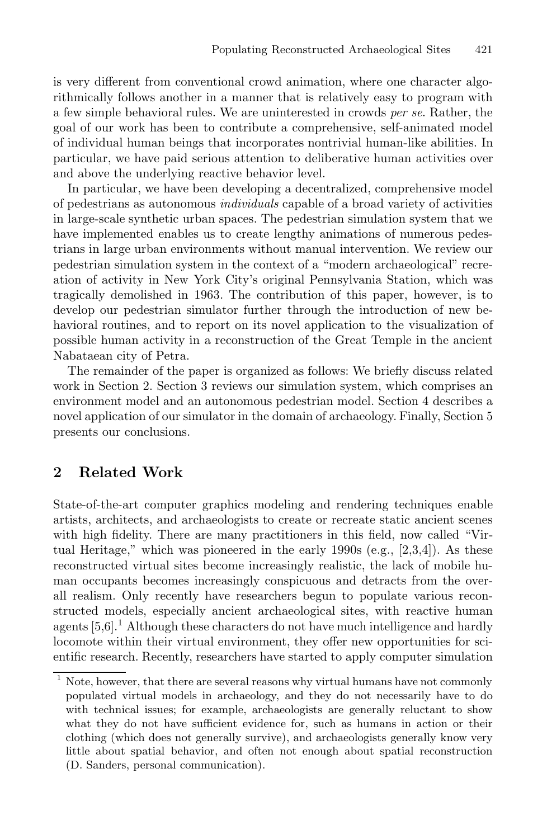is very different from conventional crowd animation, where one character algorithmically follows another in a manner that is relatively easy to program with a few simple behavioral rules. We are uninterested in crowds per se. Rather, the goal of our work has been to contribute a comprehensive, self-animated model of individual human beings that incorporates nontrivial human-like abilities. In particular, we have paid serious attention to deliberative human activities over and above the underlying reactive behavior level.

In particular, we have been developing a decentralized, comprehensive model of pedestrians as autonomous individuals capable of a broad variety of activities in large-scale synthetic urban spaces. The pedestrian simulation system that we have implemented enables us to create lengthy animations of numerous pedestrians in large urban environments without manual intervention. We review our pedestrian simulation system in the context of a "modern archaeological" recreation of activity in New York City's original Pennsylvania Station, which was tragically demolished in 1963. The contribution of this paper, however, is to develop our pedestrian simulator further through the introduction of new behavioral routines, and to report on its novel application to the visualization of possible human activity in a reconstruction of the Great Temple in the ancient Nabataean city of Petra.

The remainder of the paper is organized as follows: We briefly discuss related work in Section 2. Section 3 reviews our simulation system, which comprises an environment model and an autonomous pedestrian model. Section 4 describes a novel application of our simulator in the domain of archaeology. Finally, Section 5 presents our conclusions.

## **2 Related Work**

State-of-the-art computer graphics modeling and rendering techniques enable artists, architects, and archaeologists to create or recreate static ancient scenes with high fidelity. There are many practitioners in this field, now called "Virtual Heritage," which was pioneered in the early 1990s (e.g., [2,3,4]). As these reconstructed virtual sites become increasingly realistic, the lack of mobile human occupants becomes increasingly conspicuous and detracts from the overall realism. Only recently have researchers begun to populate various reconstructed models, especially ancient archaeological sites, with reactive human agents  $[5,6]$ <sup>1</sup>. Although these characters do not have much intelligence and hardly locomote within their virtual environment, they offer new opportunities for scientific research. Recently, researchers have started to apply computer simulation

 $^{\rm 1}$  Note, however, that there are several reasons why virtual humans have not commonly populated virtual models in archaeology, and they do not necessarily have to do with technical issues; for example, archaeologists are generally reluctant to show what they do not have sufficient evidence for, such as humans in action or their clothing (which does not generally survive), and archaeologists generally know very little about spatial behavior, and often not enough about spatial reconstruction (D. Sanders, personal communication).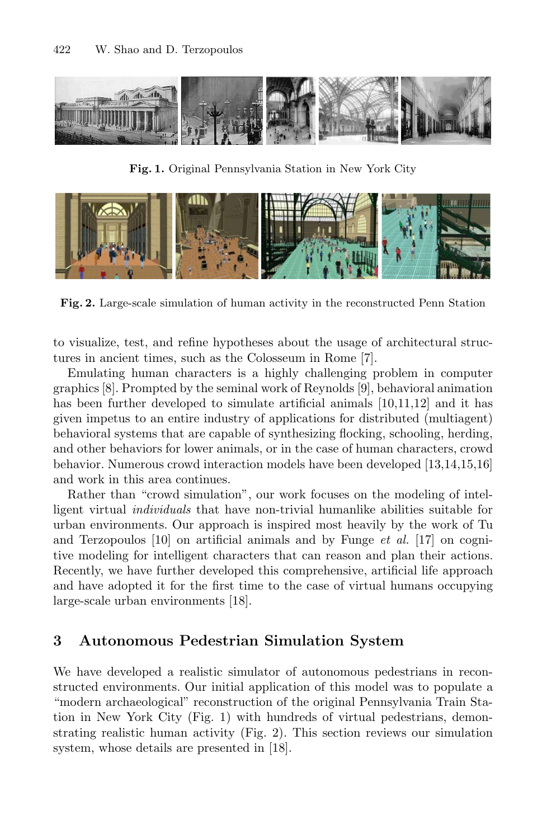

**Fig. 1.** Original Pennsylvania Station in New York City



**Fig. 2.** Large-scale simulation of human activity in the reconstructed Penn Station

to visualize, test, and refine hypotheses about the usage of architectural structures in ancient times, such as the Colosseum in Rome [7].

Emulating human characters is a highly challenging problem in computer graphics [8]. Prompted by the seminal work of Reynolds [9], behavioral animation has been further developed to simulate artificial animals [10,11,12] and it has given impetus to an entire industry of applications for distributed (multiagent) behavioral systems that are capable of synthesizing flocking, schooling, herding, and other behaviors for lower animals, or in the case of human characters, crowd behavior. Numerous crowd interaction models have been developed [13,14,15,16] and work in this area continues.

Rather than "crowd simulation", our work focuses on the modeling of intelligent virtual individuals that have non-trivial humanlike abilities suitable for urban environments. Our approach is inspired most heavily by the work of Tu and Terzopoulos  $[10]$  on artificial animals and by Funge *et al.* [17] on cognitive modeling for intelligent characters that can reason and plan their actions. Recently, we have further developed this comprehensive, artificial life approach and have adopted it for the first time to the case of virtual humans occupying large-scale urban environments [18].

## **3 Autonomous Pedestrian Simulation System**

We have developed a realistic simulator of autonomous pedestrians in reconstructed environments. Our initial application of this model was to populate a "modern archaeological" reconstruction of the original Pennsylvania Train Station in New York City (Fig. 1) with hundreds of virtual pedestrians, demonstrating realistic human activity (Fig. 2). This section reviews our simulation system, whose details are presented in [18].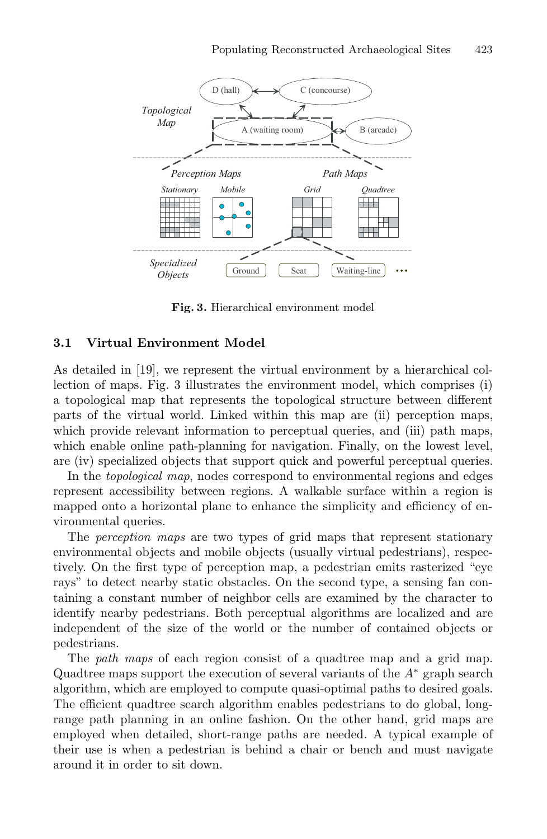

**Fig. 3.** Hierarchical environment model

#### **3.1 Virtual Environment Model**

As detailed in [19], we represent the virtual environment by a hierarchical collection of maps. Fig. 3 illustrates the environment model, which comprises (i) a topological map that represents the topological structure between different parts of the virtual world. Linked within this map are (ii) perception maps, which provide relevant information to perceptual queries, and (iii) path maps, which enable online path-planning for navigation. Finally, on the lowest level, are (iv) specialized objects that support quick and powerful perceptual queries.

In the topological map, nodes correspond to environmental regions and edges represent accessibility between regions. A walkable surface within a region is mapped onto a horizontal plane to enhance the simplicity and efficiency of environmental queries.

The perception maps are two types of grid maps that represent stationary environmental objects and mobile objects (usually virtual pedestrians), respectively. On the first type of perception map, a pedestrian emits rasterized "eye rays" to detect nearby static obstacles. On the second type, a sensing fan containing a constant number of neighbor cells are examined by the character to identify nearby pedestrians. Both perceptual algorithms are localized and are independent of the size of the world or the number of contained objects or pedestrians.

The path maps of each region consist of a quadtree map and a grid map. Quadtree maps support the execution of several variants of the  $A^*$  graph search algorithm, which are employed to compute quasi-optimal paths to desired goals. The efficient quadtree search algorithm enables pedestrians to do global, longrange path planning in an online fashion. On the other hand, grid maps are employed when detailed, short-range paths are needed. A typical example of their use is when a pedestrian is behind a chair or bench and must navigate around it in order to sit down.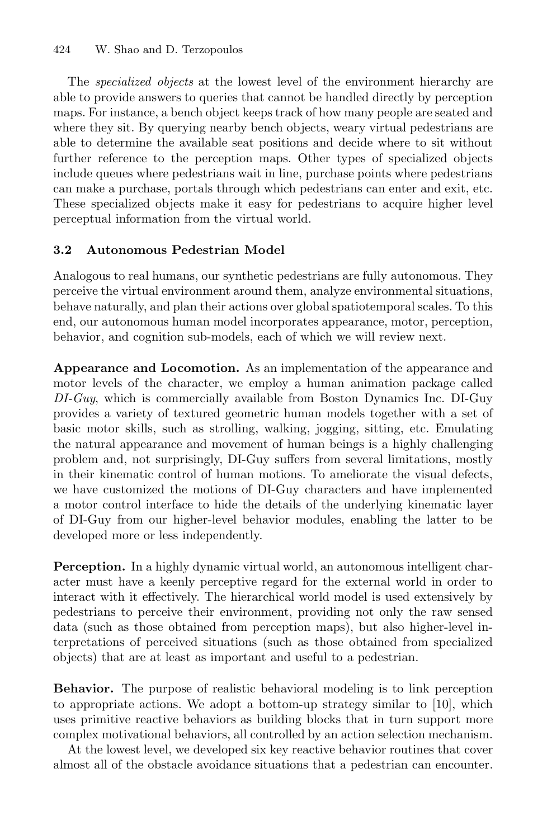The *specialized objects* at the lowest level of the environment hierarchy are able to provide answers to queries that cannot be handled directly by perception maps. For instance, a bench object keeps track of how many people are seated and where they sit. By querying nearby bench objects, weary virtual pedestrians are able to determine the available seat positions and decide where to sit without further reference to the perception maps. Other types of specialized objects include queues where pedestrians wait in line, purchase points where pedestrians can make a purchase, portals through which pedestrians can enter and exit, etc. These specialized objects make it easy for pedestrians to acquire higher level perceptual information from the virtual world.

## **3.2 Autonomous Pedestrian Model**

Analogous to real humans, our synthetic pedestrians are fully autonomous. They perceive the virtual environment around them, analyze environmental situations, behave naturally, and plan their actions over global spatiotemporal scales. To this end, our autonomous human model incorporates appearance, motor, perception, behavior, and cognition sub-models, each of which we will review next.

**Appearance and Locomotion.** As an implementation of the appearance and motor levels of the character, we employ a human animation package called DI-Guy, which is commercially available from Boston Dynamics Inc. DI-Guy provides a variety of textured geometric human models together with a set of basic motor skills, such as strolling, walking, jogging, sitting, etc. Emulating the natural appearance and movement of human beings is a highly challenging problem and, not surprisingly, DI-Guy suffers from several limitations, mostly in their kinematic control of human motions. To ameliorate the visual defects, we have customized the motions of DI-Guy characters and have implemented a motor control interface to hide the details of the underlying kinematic layer of DI-Guy from our higher-level behavior modules, enabling the latter to be developed more or less independently.

**Perception.** In a highly dynamic virtual world, an autonomous intelligent character must have a keenly perceptive regard for the external world in order to interact with it effectively. The hierarchical world model is used extensively by pedestrians to perceive their environment, providing not only the raw sensed data (such as those obtained from perception maps), but also higher-level interpretations of perceived situations (such as those obtained from specialized objects) that are at least as important and useful to a pedestrian.

**Behavior.** The purpose of realistic behavioral modeling is to link perception to appropriate actions. We adopt a bottom-up strategy similar to [10], which uses primitive reactive behaviors as building blocks that in turn support more complex motivational behaviors, all controlled by an action selection mechanism.

At the lowest level, we developed six key reactive behavior routines that cover almost all of the obstacle avoidance situations that a pedestrian can encounter.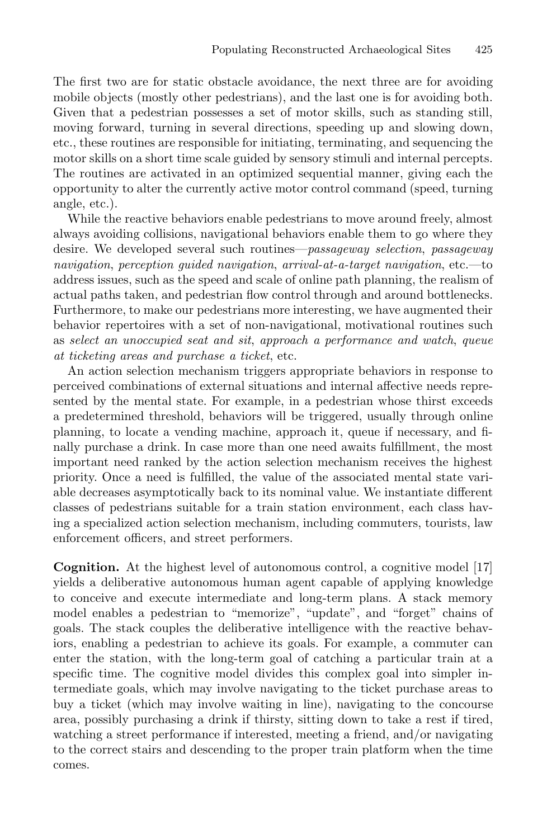The first two are for static obstacle avoidance, the next three are for avoiding mobile objects (mostly other pedestrians), and the last one is for avoiding both. Given that a pedestrian possesses a set of motor skills, such as standing still, moving forward, turning in several directions, speeding up and slowing down, etc., these routines are responsible for initiating, terminating, and sequencing the motor skills on a short time scale guided by sensory stimuli and internal percepts. The routines are activated in an optimized sequential manner, giving each the opportunity to alter the currently active motor control command (speed, turning angle, etc.).

While the reactive behaviors enable pedestrians to move around freely, almost always avoiding collisions, navigational behaviors enable them to go where they desire. We developed several such routines—*passageway selection*, *passageway* navigation, perception guided navigation, arrival-at-a-target navigation, etc.—to address issues, such as the speed and scale of online path planning, the realism of actual paths taken, and pedestrian flow control through and around bottlenecks. Furthermore, to make our pedestrians more interesting, we have augmented their behavior repertoires with a set of non-navigational, motivational routines such as select an unoccupied seat and sit, approach a performance and watch, queue at ticketing areas and purchase a ticket, etc.

An action selection mechanism triggers appropriate behaviors in response to perceived combinations of external situations and internal affective needs represented by the mental state. For example, in a pedestrian whose thirst exceeds a predetermined threshold, behaviors will be triggered, usually through online planning, to locate a vending machine, approach it, queue if necessary, and finally purchase a drink. In case more than one need awaits fulfillment, the most important need ranked by the action selection mechanism receives the highest priority. Once a need is fulfilled, the value of the associated mental state variable decreases asymptotically back to its nominal value. We instantiate different classes of pedestrians suitable for a train station environment, each class having a specialized action selection mechanism, including commuters, tourists, law enforcement officers, and street performers.

**Cognition.** At the highest level of autonomous control, a cognitive model [17] yields a deliberative autonomous human agent capable of applying knowledge to conceive and execute intermediate and long-term plans. A stack memory model enables a pedestrian to "memorize", "update", and "forget" chains of goals. The stack couples the deliberative intelligence with the reactive behaviors, enabling a pedestrian to achieve its goals. For example, a commuter can enter the station, with the long-term goal of catching a particular train at a specific time. The cognitive model divides this complex goal into simpler intermediate goals, which may involve navigating to the ticket purchase areas to buy a ticket (which may involve waiting in line), navigating to the concourse area, possibly purchasing a drink if thirsty, sitting down to take a rest if tired, watching a street performance if interested, meeting a friend, and/or navigating to the correct stairs and descending to the proper train platform when the time comes.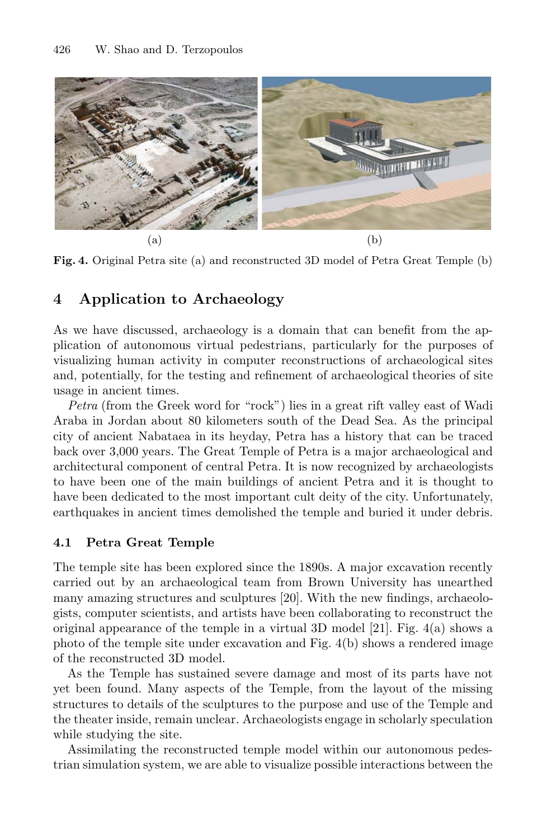

**Fig. 4.** Original Petra site (a) and reconstructed 3D model of Petra Great Temple (b)

## **4 Application to Archaeology**

As we have discussed, archaeology is a domain that can benefit from the application of autonomous virtual pedestrians, particularly for the purposes of visualizing human activity in computer reconstructions of archaeological sites and, potentially, for the testing and refinement of archaeological theories of site usage in ancient times.

Petra (from the Greek word for "rock") lies in a great rift valley east of Wadi Araba in Jordan about 80 kilometers south of the Dead Sea. As the principal city of ancient Nabataea in its heyday, Petra has a history that can be traced back over 3,000 years. The Great Temple of Petra is a major archaeological and architectural component of central Petra. It is now recognized by archaeologists to have been one of the main buildings of ancient Petra and it is thought to have been dedicated to the most important cult deity of the city. Unfortunately, earthquakes in ancient times demolished the temple and buried it under debris.

#### **4.1 Petra Great Temple**

The temple site has been explored since the 1890s. A major excavation recently carried out by an archaeological team from Brown University has unearthed many amazing structures and sculptures [20]. With the new findings, archaeologists, computer scientists, and artists have been collaborating to reconstruct the original appearance of the temple in a virtual 3D model [21]. Fig. 4(a) shows a photo of the temple site under excavation and Fig. 4(b) shows a rendered image of the reconstructed 3D model.

As the Temple has sustained severe damage and most of its parts have not yet been found. Many aspects of the Temple, from the layout of the missing structures to details of the sculptures to the purpose and use of the Temple and the theater inside, remain unclear. Archaeologists engage in scholarly speculation while studying the site.

Assimilating the reconstructed temple model within our autonomous pedestrian simulation system, we are able to visualize possible interactions between the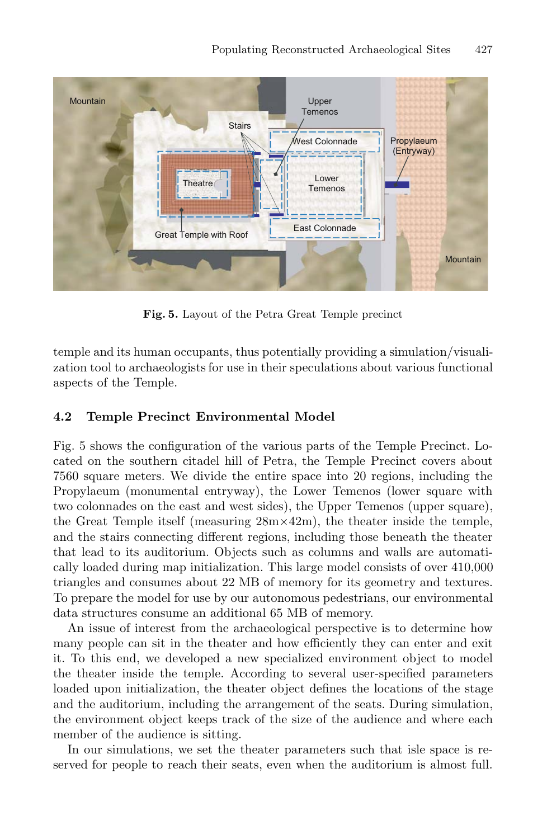

**Fig. 5.** Layout of the Petra Great Temple precinct

temple and its human occupants, thus potentially providing a simulation/visualization tool to archaeologists for use in their speculations about various functional aspects of the Temple.

## **4.2 Temple Precinct Environmental Model**

Fig. 5 shows the configuration of the various parts of the Temple Precinct. Located on the southern citadel hill of Petra, the Temple Precinct covers about 7560 square meters. We divide the entire space into 20 regions, including the Propylaeum (monumental entryway), the Lower Temenos (lower square with two colonnades on the east and west sides), the Upper Temenos (upper square), the Great Temple itself (measuring  $28m \times 42m$ ), the theater inside the temple, and the stairs connecting different regions, including those beneath the theater that lead to its auditorium. Objects such as columns and walls are automatically loaded during map initialization. This large model consists of over 410,000 triangles and consumes about 22 MB of memory for its geometry and textures. To prepare the model for use by our autonomous pedestrians, our environmental data structures consume an additional 65 MB of memory.

An issue of interest from the archaeological perspective is to determine how many people can sit in the theater and how efficiently they can enter and exit it. To this end, we developed a new specialized environment object to model the theater inside the temple. According to several user-specified parameters loaded upon initialization, the theater object defines the locations of the stage and the auditorium, including the arrangement of the seats. During simulation, the environment object keeps track of the size of the audience and where each member of the audience is sitting.

In our simulations, we set the theater parameters such that isle space is reserved for people to reach their seats, even when the auditorium is almost full.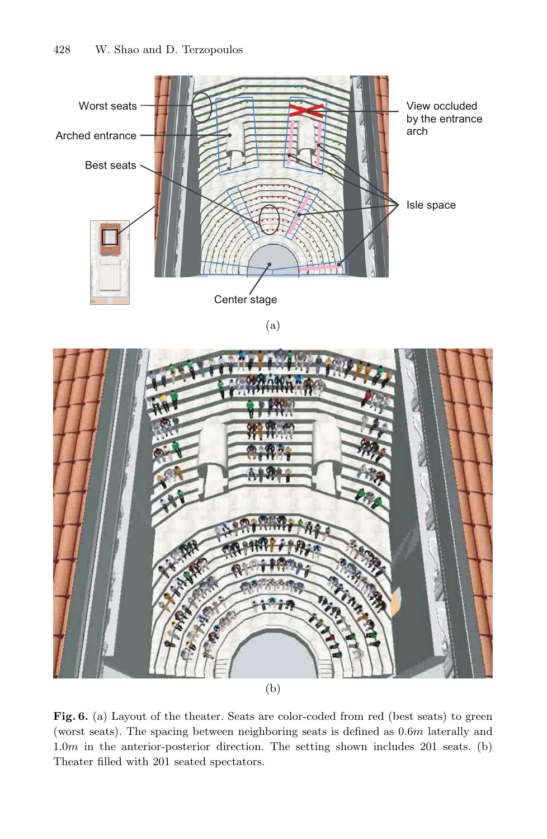

(a)



(b)

Fig. 6. (a) Layout of the theater. Seats are color-coded from red (best seats) to green (worst seats). The spacing between neighboring seats is defined as 0.6m laterally and 1.0m in the anterior-posterior direction. The setting shown includes 201 seats. (b) Theater filled with 201 seated spectators.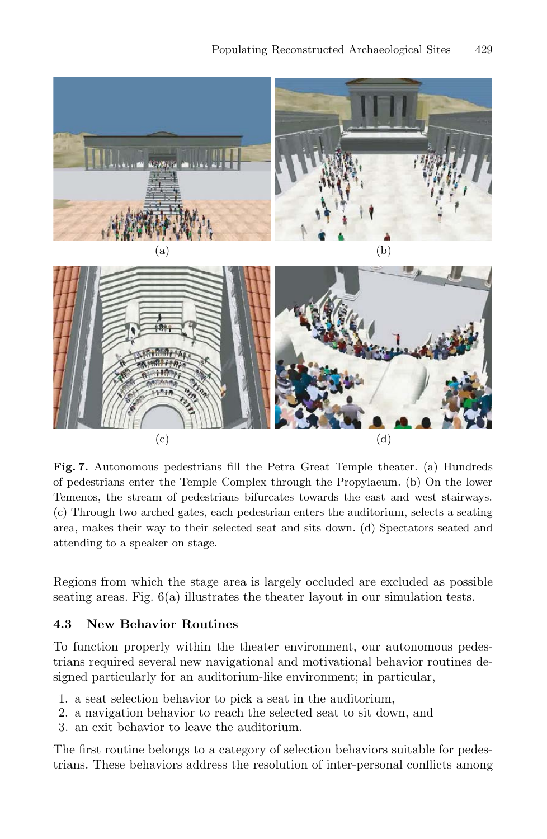

**Fig. 7.** Autonomous pedestrians fill the Petra Great Temple theater. (a) Hundreds of pedestrians enter the Temple Complex through the Propylaeum. (b) On the lower Temenos, the stream of pedestrians bifurcates towards the east and west stairways. (c) Through two arched gates, each pedestrian enters the auditorium, selects a seating area, makes their way to their selected seat and sits down. (d) Spectators seated and attending to a speaker on stage.

Regions from which the stage area is largely occluded are excluded as possible seating areas. Fig. 6(a) illustrates the theater layout in our simulation tests.

#### **4.3 New Behavior Routines**

To function properly within the theater environment, our autonomous pedestrians required several new navigational and motivational behavior routines designed particularly for an auditorium-like environment; in particular,

- 1. a seat selection behavior to pick a seat in the auditorium,
- 2. a navigation behavior to reach the selected seat to sit down, and
- 3. an exit behavior to leave the auditorium.

The first routine belongs to a category of selection behaviors suitable for pedestrians. These behaviors address the resolution of inter-personal conflicts among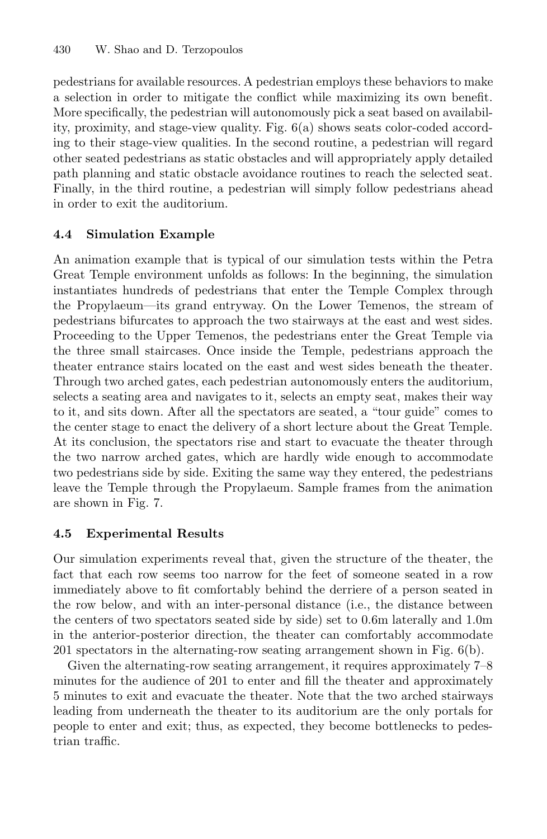pedestrians for available resources. A pedestrian employs these behaviors to make a selection in order to mitigate the conflict while maximizing its own benefit. More specifically, the pedestrian will autonomously pick a seat based on availability, proximity, and stage-view quality. Fig. 6(a) shows seats color-coded according to their stage-view qualities. In the second routine, a pedestrian will regard other seated pedestrians as static obstacles and will appropriately apply detailed path planning and static obstacle avoidance routines to reach the selected seat. Finally, in the third routine, a pedestrian will simply follow pedestrians ahead in order to exit the auditorium.

#### **4.4 Simulation Example**

An animation example that is typical of our simulation tests within the Petra Great Temple environment unfolds as follows: In the beginning, the simulation instantiates hundreds of pedestrians that enter the Temple Complex through the Propylaeum—its grand entryway. On the Lower Temenos, the stream of pedestrians bifurcates to approach the two stairways at the east and west sides. Proceeding to the Upper Temenos, the pedestrians enter the Great Temple via the three small staircases. Once inside the Temple, pedestrians approach the theater entrance stairs located on the east and west sides beneath the theater. Through two arched gates, each pedestrian autonomously enters the auditorium, selects a seating area and navigates to it, selects an empty seat, makes their way to it, and sits down. After all the spectators are seated, a "tour guide" comes to the center stage to enact the delivery of a short lecture about the Great Temple. At its conclusion, the spectators rise and start to evacuate the theater through the two narrow arched gates, which are hardly wide enough to accommodate two pedestrians side by side. Exiting the same way they entered, the pedestrians leave the Temple through the Propylaeum. Sample frames from the animation are shown in Fig. 7.

## **4.5 Experimental Results**

Our simulation experiments reveal that, given the structure of the theater, the fact that each row seems too narrow for the feet of someone seated in a row immediately above to fit comfortably behind the derriere of a person seated in the row below, and with an inter-personal distance (i.e., the distance between the centers of two spectators seated side by side) set to 0.6m laterally and 1.0m in the anterior-posterior direction, the theater can comfortably accommodate 201 spectators in the alternating-row seating arrangement shown in Fig. 6(b).

Given the alternating-row seating arrangement, it requires approximately 7–8 minutes for the audience of 201 to enter and fill the theater and approximately 5 minutes to exit and evacuate the theater. Note that the two arched stairways leading from underneath the theater to its auditorium are the only portals for people to enter and exit; thus, as expected, they become bottlenecks to pedestrian traffic.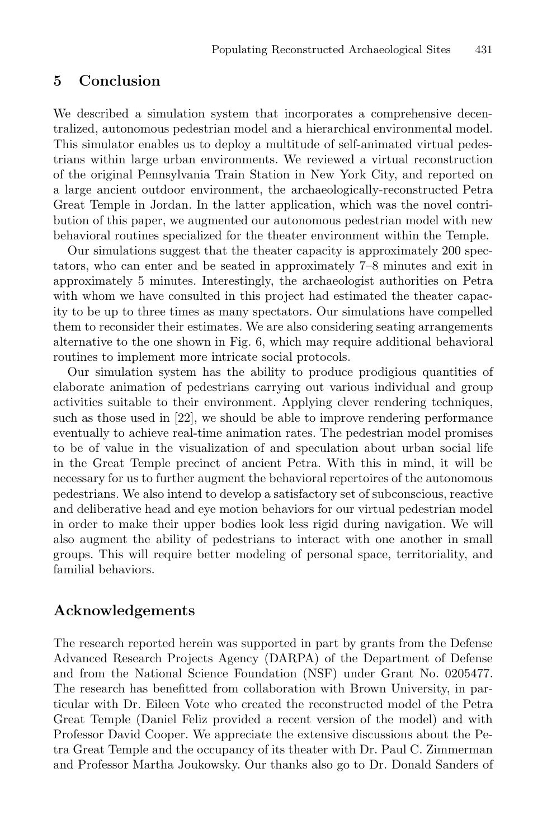## **5 Conclusion**

We described a simulation system that incorporates a comprehensive decentralized, autonomous pedestrian model and a hierarchical environmental model. This simulator enables us to deploy a multitude of self-animated virtual pedestrians within large urban environments. We reviewed a virtual reconstruction of the original Pennsylvania Train Station in New York City, and reported on a large ancient outdoor environment, the archaeologically-reconstructed Petra Great Temple in Jordan. In the latter application, which was the novel contribution of this paper, we augmented our autonomous pedestrian model with new behavioral routines specialized for the theater environment within the Temple.

Our simulations suggest that the theater capacity is approximately 200 spectators, who can enter and be seated in approximately 7–8 minutes and exit in approximately 5 minutes. Interestingly, the archaeologist authorities on Petra with whom we have consulted in this project had estimated the theater capacity to be up to three times as many spectators. Our simulations have compelled them to reconsider their estimates. We are also considering seating arrangements alternative to the one shown in Fig. 6, which may require additional behavioral routines to implement more intricate social protocols.

Our simulation system has the ability to produce prodigious quantities of elaborate animation of pedestrians carrying out various individual and group activities suitable to their environment. Applying clever rendering techniques, such as those used in [22], we should be able to improve rendering performance eventually to achieve real-time animation rates. The pedestrian model promises to be of value in the visualization of and speculation about urban social life in the Great Temple precinct of ancient Petra. With this in mind, it will be necessary for us to further augment the behavioral repertoires of the autonomous pedestrians. We also intend to develop a satisfactory set of subconscious, reactive and deliberative head and eye motion behaviors for our virtual pedestrian model in order to make their upper bodies look less rigid during navigation. We will also augment the ability of pedestrians to interact with one another in small groups. This will require better modeling of personal space, territoriality, and familial behaviors.

## **Acknowledgements**

The research reported herein was supported in part by grants from the Defense Advanced Research Projects Agency (DARPA) of the Department of Defense and from the National Science Foundation (NSF) under Grant No. 0205477. The research has benefitted from collaboration with Brown University, in particular with Dr. Eileen Vote who created the reconstructed model of the Petra Great Temple (Daniel Feliz provided a recent version of the model) and with Professor David Cooper. We appreciate the extensive discussions about the Petra Great Temple and the occupancy of its theater with Dr. Paul C. Zimmerman and Professor Martha Joukowsky. Our thanks also go to Dr. Donald Sanders of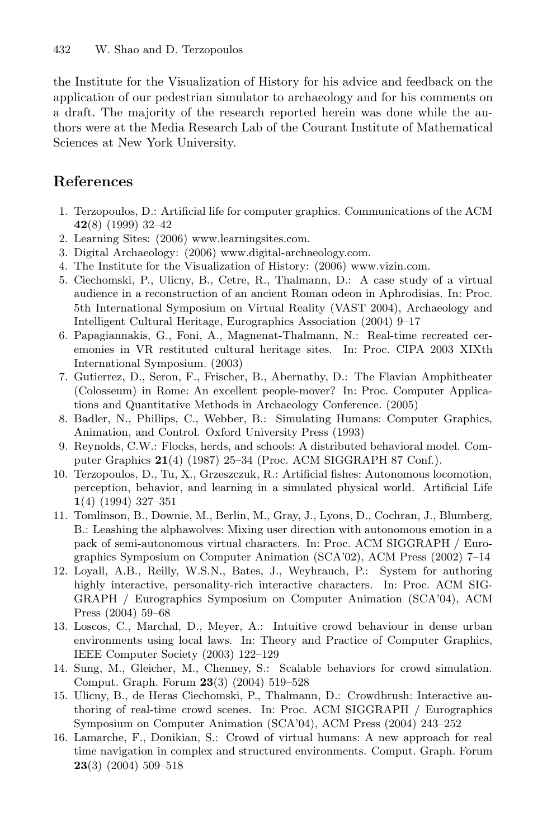the Institute for the Visualization of History for his advice and feedback on the application of our pedestrian simulator to archaeology and for his comments on a draft. The majority of the research reported herein was done while the authors were at the Media Research Lab of the Courant Institute of Mathematical Sciences at New York University.

# **References**

- 1. Terzopoulos, D.: Artificial life for computer graphics. Communications of the ACM **42**(8) (1999) 32–42
- 2. Learning Sites: (2006) www.learningsites.com.
- 3. Digital Archaeology: (2006) www.digital-archaeology.com.
- 4. The Institute for the Visualization of History: (2006) www.vizin.com.
- 5. Ciechomski, P., Ulicny, B., Cetre, R., Thalmann, D.: A case study of a virtual audience in a reconstruction of an ancient Roman odeon in Aphrodisias. In: Proc. 5th International Symposium on Virtual Reality (VAST 2004), Archaeology and Intelligent Cultural Heritage, Eurographics Association (2004) 9–17
- 6. Papagiannakis, G., Foni, A., Magnenat-Thalmann, N.: Real-time recreated ceremonies in VR restituted cultural heritage sites. In: Proc. CIPA 2003 XIXth International Symposium. (2003)
- 7. Gutierrez, D., Seron, F., Frischer, B., Abernathy, D.: The Flavian Amphitheater (Colosseum) in Rome: An excellent people-mover? In: Proc. Computer Applications and Quantitative Methods in Archaeology Conference. (2005)
- 8. Badler, N., Phillips, C., Webber, B.: Simulating Humans: Computer Graphics, Animation, and Control. Oxford University Press (1993)
- 9. Reynolds, C.W.: Flocks, herds, and schools: A distributed behavioral model. Computer Graphics **21**(4) (1987) 25–34 (Proc. ACM SIGGRAPH 87 Conf.).
- 10. Terzopoulos, D., Tu, X., Grzeszczuk, R.: Artificial fishes: Autonomous locomotion, perception, behavior, and learning in a simulated physical world. Artificial Life **1**(4) (1994) 327–351
- 11. Tomlinson, B., Downie, M., Berlin, M., Gray, J., Lyons, D., Cochran, J., Blumberg, B.: Leashing the alphawolves: Mixing user direction with autonomous emotion in a pack of semi-autonomous virtual characters. In: Proc. ACM SIGGRAPH / Eurographics Symposium on Computer Animation (SCA'02), ACM Press (2002) 7–14
- 12. Loyall, A.B., Reilly, W.S.N., Bates, J., Weyhrauch, P.: System for authoring highly interactive, personality-rich interactive characters. In: Proc. ACM SIG-GRAPH / Eurographics Symposium on Computer Animation (SCA'04), ACM Press (2004) 59–68
- 13. Loscos, C., Marchal, D., Meyer, A.: Intuitive crowd behaviour in dense urban environments using local laws. In: Theory and Practice of Computer Graphics, IEEE Computer Society (2003) 122–129
- 14. Sung, M., Gleicher, M., Chenney, S.: Scalable behaviors for crowd simulation. Comput. Graph. Forum **23**(3) (2004) 519–528
- 15. Ulicny, B., de Heras Ciechomski, P., Thalmann, D.: Crowdbrush: Interactive authoring of real-time crowd scenes. In: Proc. ACM SIGGRAPH / Eurographics Symposium on Computer Animation (SCA'04), ACM Press (2004) 243–252
- 16. Lamarche, F., Donikian, S.: Crowd of virtual humans: A new approach for real time navigation in complex and structured environments. Comput. Graph. Forum **23**(3) (2004) 509–518